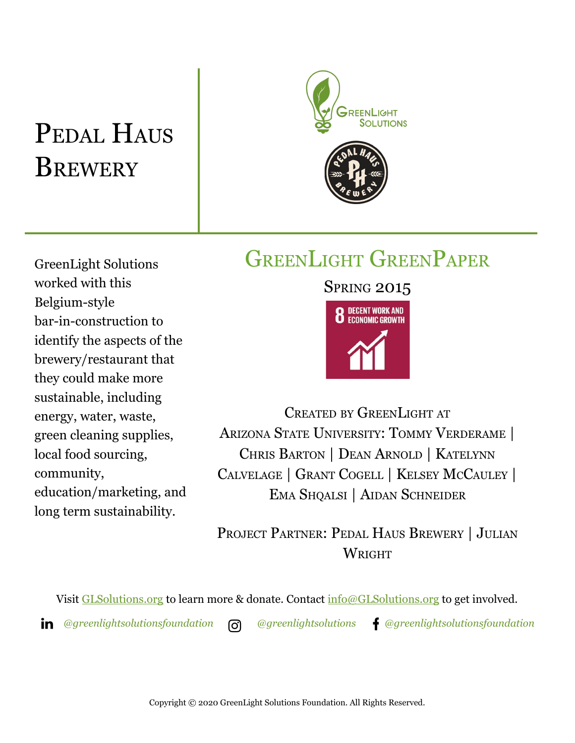## PEDAL HAUS **BREWERY**



### GREENLIGHT GREENPAPER

GreenLight Solutions worked with this Belgium-style bar-in-construction to identify the aspects of the brewery/restaurant that they could make more sustainable, including energy, water, waste, green cleaning supplies, local food sourcing, community, education/marketing, and long term sustainability.

# **SPRING 2015 8** DECENT WORK AND

CREATED BY GREENLIGHT AT ARIZONA STATE UNIVERSITY: TOMMY VERDERAME | CHRIS BARTON | DEAN ARNOLD | KATELYNN CALVELAGE | GRANT COGELL | KELSEY MCCAULEY | EMA SHQALSI | AIDAN SCHNEIDER

PROJECT PARTNER: PEDAL HAUS BREWERY | JULIAN WRIGHT

Visit [GLSolutions.org](https://www.glsolutions.org/) to learn more & donate. Contact [info@GLSolutions.org](mailto:info@GLSolutions.org) to get involved.

*[@greenlightsolutionsfoundation](https://www.linkedin.com/company/10571635) [@greenlightsolutions](https://www.instagram.com/greenlightsolutions/) [@greenlightsolutionsfoundation](https://www.facebook.com/GreenLightSolutionsFoundation/)*